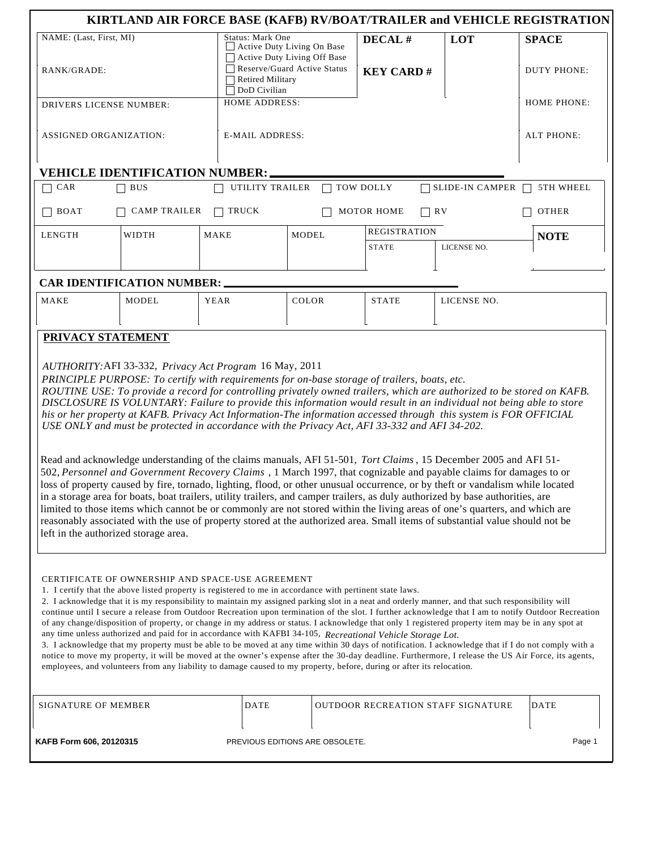|                                                                                                                                                                                                                                                                                                                                                                                                                                                                                                                                                                                                                                                                                                                                                                                                                                                                                                                                                                                                                                                                                                                                                                                                                                                                                                                                                                                                                                                |                             |  |                                                                               |  |                                           |             | KIRTLAND AIR FORCE BASE (KAFB) RV/BOAT/TRAILER and VEHICLE REGISTRATION |  |  |
|------------------------------------------------------------------------------------------------------------------------------------------------------------------------------------------------------------------------------------------------------------------------------------------------------------------------------------------------------------------------------------------------------------------------------------------------------------------------------------------------------------------------------------------------------------------------------------------------------------------------------------------------------------------------------------------------------------------------------------------------------------------------------------------------------------------------------------------------------------------------------------------------------------------------------------------------------------------------------------------------------------------------------------------------------------------------------------------------------------------------------------------------------------------------------------------------------------------------------------------------------------------------------------------------------------------------------------------------------------------------------------------------------------------------------------------------|-----------------------------|--|-------------------------------------------------------------------------------|--|-------------------------------------------|-------------|-------------------------------------------------------------------------|--|--|
| NAME: (Last, First, MI)                                                                                                                                                                                                                                                                                                                                                                                                                                                                                                                                                                                                                                                                                                                                                                                                                                                                                                                                                                                                                                                                                                                                                                                                                                                                                                                                                                                                                        |                             |  | Status: Mark One<br>Active Duty Living On Base<br>Active Duty Living Off Base |  | DECAL#                                    | LOT         | <b>SPACE</b>                                                            |  |  |
| RANK/GRADE:                                                                                                                                                                                                                                                                                                                                                                                                                                                                                                                                                                                                                                                                                                                                                                                                                                                                                                                                                                                                                                                                                                                                                                                                                                                                                                                                                                                                                                    |                             |  | Reserve/Guard Active Status<br><b>Retired Military</b><br>DoD Civilian        |  | <b>KEY CARD#</b>                          |             | DUTY PHONE:                                                             |  |  |
| DRIVERS LICENSE NUMBER:                                                                                                                                                                                                                                                                                                                                                                                                                                                                                                                                                                                                                                                                                                                                                                                                                                                                                                                                                                                                                                                                                                                                                                                                                                                                                                                                                                                                                        |                             |  | <b>HOME ADDRESS:</b>                                                          |  |                                           |             | <b>HOME PHONE:</b>                                                      |  |  |
| <b>ASSIGNED ORGANIZATION:</b>                                                                                                                                                                                                                                                                                                                                                                                                                                                                                                                                                                                                                                                                                                                                                                                                                                                                                                                                                                                                                                                                                                                                                                                                                                                                                                                                                                                                                  |                             |  | <b>E-MAIL ADDRESS:</b>                                                        |  |                                           |             | <b>ALT PHONE:</b>                                                       |  |  |
| <b>VEHICLE IDENTIFICATION NUMBER:</b>                                                                                                                                                                                                                                                                                                                                                                                                                                                                                                                                                                                                                                                                                                                                                                                                                                                                                                                                                                                                                                                                                                                                                                                                                                                                                                                                                                                                          |                             |  |                                                                               |  |                                           |             |                                                                         |  |  |
| CAR<br>$\Box$ SLIDE-IN CAMPER $\Box$<br>$\exists$ BUS<br>UTILITY TRAILER<br>TOW DOLLY<br>5TH WHEEL                                                                                                                                                                                                                                                                                                                                                                                                                                                                                                                                                                                                                                                                                                                                                                                                                                                                                                                                                                                                                                                                                                                                                                                                                                                                                                                                             |                             |  |                                                                               |  |                                           |             |                                                                         |  |  |
| <b>CAMP TRAILER</b><br><b>TRUCK</b><br>$\Box$ RV<br>BOAT<br>MOTOR HOME<br><b>OTHER</b>                                                                                                                                                                                                                                                                                                                                                                                                                                                                                                                                                                                                                                                                                                                                                                                                                                                                                                                                                                                                                                                                                                                                                                                                                                                                                                                                                         |                             |  |                                                                               |  |                                           |             |                                                                         |  |  |
| <b>LENGTH</b>                                                                                                                                                                                                                                                                                                                                                                                                                                                                                                                                                                                                                                                                                                                                                                                                                                                                                                                                                                                                                                                                                                                                                                                                                                                                                                                                                                                                                                  | <b>WIDTH</b><br><b>MAKE</b> |  | <b>MODEL</b>                                                                  |  | <b>REGISTRATION</b>                       |             | <b>NOTE</b>                                                             |  |  |
|                                                                                                                                                                                                                                                                                                                                                                                                                                                                                                                                                                                                                                                                                                                                                                                                                                                                                                                                                                                                                                                                                                                                                                                                                                                                                                                                                                                                                                                |                             |  |                                                                               |  | <b>STATE</b>                              | LICENSE NO. |                                                                         |  |  |
| <b>CAR IDENTIFICATION NUMBER:</b>                                                                                                                                                                                                                                                                                                                                                                                                                                                                                                                                                                                                                                                                                                                                                                                                                                                                                                                                                                                                                                                                                                                                                                                                                                                                                                                                                                                                              |                             |  |                                                                               |  |                                           |             |                                                                         |  |  |
| <b>MAKE</b>                                                                                                                                                                                                                                                                                                                                                                                                                                                                                                                                                                                                                                                                                                                                                                                                                                                                                                                                                                                                                                                                                                                                                                                                                                                                                                                                                                                                                                    | <b>MODEL</b><br><b>YEAR</b> |  | <b>COLOR</b>                                                                  |  | <b>STATE</b>                              | LICENSE NO. |                                                                         |  |  |
| PRIVACY STATEMENT                                                                                                                                                                                                                                                                                                                                                                                                                                                                                                                                                                                                                                                                                                                                                                                                                                                                                                                                                                                                                                                                                                                                                                                                                                                                                                                                                                                                                              |                             |  |                                                                               |  |                                           |             |                                                                         |  |  |
| AUTHORITY: AFI 33-332, Privacy Act Program 16 May, 2011<br>PRINCIPLE PURPOSE: To certify with requirements for on-base storage of trailers, boats, etc.<br>ROUTINE USE: To provide a record for controlling privately owned trailers, which are authorized to be stored on KAFB.<br>DISCLOSURE IS VOLUNTARY: Failure to provide this information would result in an individual not being able to store<br>his or her property at KAFB. Privacy Act Information-The information accessed through this system is FOR OFFICIAL<br>USE ONLY and must be protected in accordance with the Privacy Act, AFI 33-332 and AFI 34-202.<br>Read and acknowledge understanding of the claims manuals, AFI 51-501, Tort Claims, 15 December 2005 and AFI 51-<br>502, Personnel and Government Recovery Claims, 1 March 1997, that cognizable and payable claims for damages to or<br>loss of property caused by fire, tornado, lighting, flood, or other unusual occurrence, or by theft or vandalism while located<br>in a storage area for boats, boat trailers, utility trailers, and camper trailers, as duly authorized by base authorities, are<br>limited to those items which cannot be or commonly are not stored within the living areas of one's quarters, and which are<br>reasonably associated with the use of property stored at the authorized area. Small items of substantial value should not be<br>left in the authorized storage area. |                             |  |                                                                               |  |                                           |             |                                                                         |  |  |
| CERTIFICATE OF OWNERSHIP AND SPACE-USE AGREEMENT<br>1. I certify that the above listed property is registered to me in accordance with pertinent state laws.<br>2. I acknowledge that it is my responsibility to maintain my assigned parking slot in a neat and orderly manner, and that such responsibility will<br>continue until I secure a release from Outdoor Recreation upon termination of the slot. I further acknowledge that I am to notify Outdoor Recreation<br>of any change/disposition of property, or change in my address or status. I acknowledge that only 1 registered property item may be in any spot at<br>any time unless authorized and paid for in accordance with KAFBI 34-105, Recreational Vehicle Storage Lot.<br>3. I acknowledge that my property must be able to be moved at any time within 30 days of notification. I acknowledge that if I do not comply with a<br>notice to move my property, it will be moved at the owner's expense after the 30-day deadline. Furthermore, I release the US Air Force, its agents,<br>employees, and volunteers from any liability to damage caused to my property, before, during or after its relocation.                                                                                                                                                                                                                                                          |                             |  |                                                                               |  |                                           |             |                                                                         |  |  |
| SIGNATURE OF MEMBER                                                                                                                                                                                                                                                                                                                                                                                                                                                                                                                                                                                                                                                                                                                                                                                                                                                                                                                                                                                                                                                                                                                                                                                                                                                                                                                                                                                                                            |                             |  | DATE                                                                          |  | <b>OUTDOOR RECREATION STAFF SIGNATURE</b> |             | <b>DATE</b>                                                             |  |  |
| Page 1<br>KAFB Form 606, 20120315<br>PREVIOUS EDITIONS ARE OBSOLETE.                                                                                                                                                                                                                                                                                                                                                                                                                                                                                                                                                                                                                                                                                                                                                                                                                                                                                                                                                                                                                                                                                                                                                                                                                                                                                                                                                                           |                             |  |                                                                               |  |                                           |             |                                                                         |  |  |